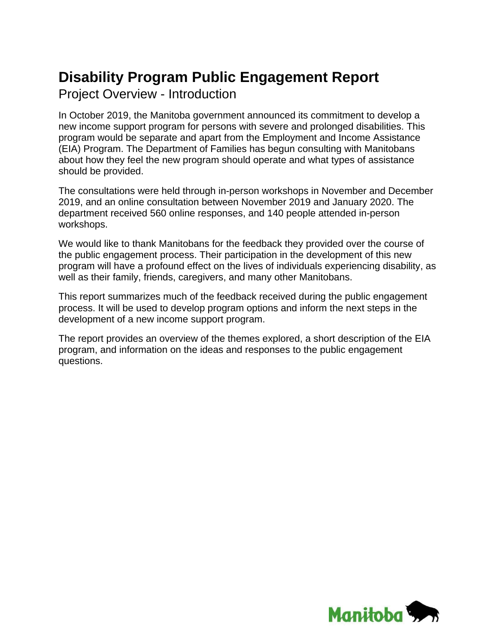# **Disability Program Public Engagement Report**

Project Overview - Introduction

In October 2019, the Manitoba government announced its commitment to develop a new income support program for persons with severe and prolonged disabilities. This program would be separate and apart from the Employment and Income Assistance (EIA) Program. The Department of Families has begun consulting with Manitobans about how they feel the new program should operate and what types of assistance should be provided.

The consultations were held through in-person workshops in November and December 2019, and an online consultation between November 2019 and January 2020. The department received 560 online responses, and 140 people attended in-person workshops.

We would like to thank Manitobans for the feedback they provided over the course of the public engagement process. Their participation in the development of this new program will have a profound effect on the lives of individuals experiencing disability, as well as their family, friends, caregivers, and many other Manitobans.

This report summarizes much of the feedback received during the public engagement process. It will be used to develop program options and inform the next steps in the development of a new income support program.

The report provides an overview of the themes explored, a short description of the EIA program, and information on the ideas and responses to the public engagement questions.

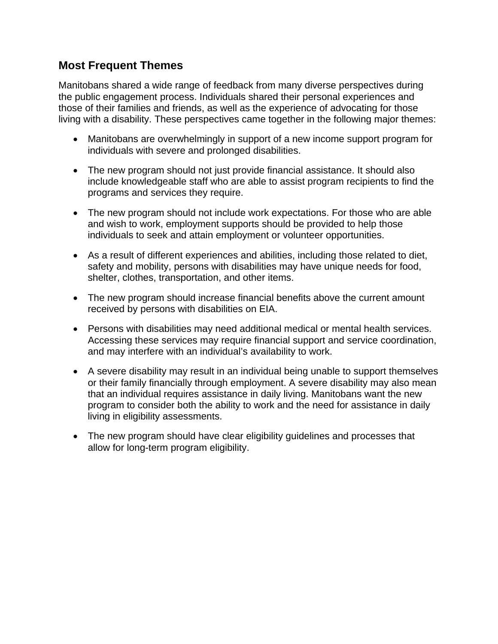# **Most Frequent Themes**

Manitobans shared a wide range of feedback from many diverse perspectives during the public engagement process. Individuals shared their personal experiences and those of their families and friends, as well as the experience of advocating for those living with a disability. These perspectives came together in the following major themes:

- Manitobans are overwhelmingly in support of a new income support program for individuals with severe and prolonged disabilities.
- The new program should not just provide financial assistance. It should also include knowledgeable staff who are able to assist program recipients to find the programs and services they require.
- The new program should not include work expectations. For those who are able and wish to work, employment supports should be provided to help those individuals to seek and attain employment or volunteer opportunities.
- As a result of different experiences and abilities, including those related to diet, safety and mobility, persons with disabilities may have unique needs for food, shelter, clothes, transportation, and other items.
- The new program should increase financial benefits above the current amount received by persons with disabilities on EIA.
- Persons with disabilities may need additional medical or mental health services. Accessing these services may require financial support and service coordination, and may interfere with an individual's availability to work.
- A severe disability may result in an individual being unable to support themselves or their family financially through employment. A severe disability may also mean that an individual requires assistance in daily living. Manitobans want the new program to consider both the ability to work and the need for assistance in daily living in eligibility assessments.
- The new program should have clear eligibility guidelines and processes that allow for long-term program eligibility.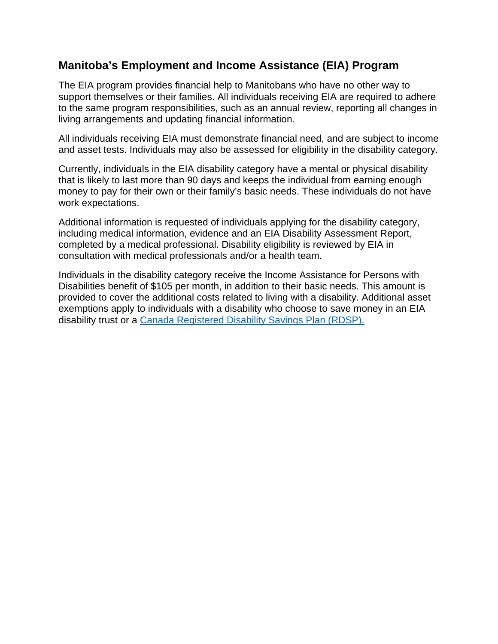# **Manitoba's Employment and Income Assistance (EIA) Program**

The EIA program provides financial help to Manitobans who have no other way to support themselves or their families. All individuals receiving EIA are required to adhere to the same program responsibilities, such as an annual review, reporting all changes in living arrangements and updating financial information.

All individuals receiving EIA must demonstrate financial need, and are subject to income and asset tests. Individuals may also be assessed for eligibility in the disability category.

Currently, individuals in the EIA disability category have a mental or physical disability that is likely to last more than 90 days and keeps the individual from earning enough money to pay for their own or their family's basic needs. These individuals do not have work expectations.

Additional information is requested of individuals applying for the disability category, including medical information, evidence and an EIA Disability Assessment Report, completed by a medical professional. Disability eligibility is reviewed by EIA in consultation with medical professionals and/or a health team.

Individuals in the disability category receive the Income Assistance for Persons with Disabilities benefit of \$105 per month, in addition to their basic needs. This amount is provided to cover the additional costs related to living with a disability. Additional asset exemptions apply to individuals with a disability who choose to save money in an EIA disability trust or a Canada Registered Disability Savings Plan (RDSP).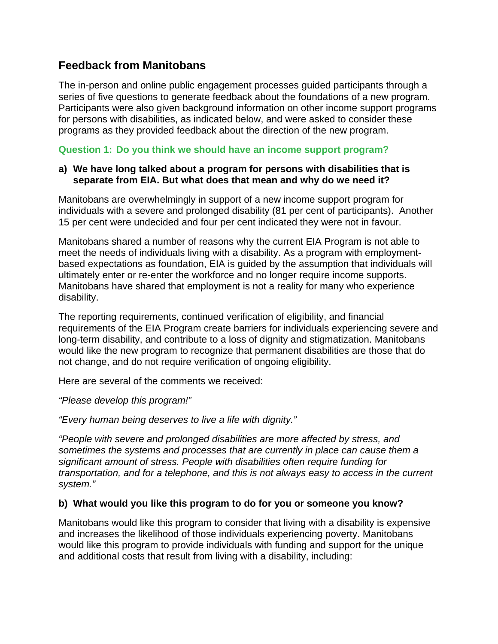# **Feedback from Manitobans**

The in-person and online public engagement processes guided participants through a series of five questions to generate feedback about the foundations of a new program. Participants were also given background information on other income support programs for persons with disabilities, as indicated below, and were asked to consider these programs as they provided feedback about the direction of the new program.

## **Question 1: Do you think we should have an income support program?**

#### **a) We have long talked about a program for persons with disabilities that is separate from EIA. But what does that mean and why do we need it?**

Manitobans are overwhelmingly in support of a new income support program for individuals with a severe and prolonged disability (81 per cent of participants). Another 15 per cent were undecided and four per cent indicated they were not in favour.

Manitobans shared a number of reasons why the current EIA Program is not able to meet the needs of individuals living with a disability. As a program with employmentbased expectations as foundation, EIA is guided by the assumption that individuals will ultimately enter or re-enter the workforce and no longer require income supports. Manitobans have shared that employment is not a reality for many who experience disability.

The reporting requirements, continued verification of eligibility, and financial requirements of the EIA Program create barriers for individuals experiencing severe and long-term disability, and contribute to a loss of dignity and stigmatization. Manitobans would like the new program to recognize that permanent disabilities are those that do not change, and do not require verification of ongoing eligibility.

Here are several of the comments we received:

*"Please develop this program!"* 

*"Every human being deserves to live a life with dignity."* 

*"People with severe and prolonged disabilities are more affected by stress, and sometimes the systems and processes that are currently in place can cause them a significant amount of stress. People with disabilities often require funding for transportation, and for a telephone, and this is not always easy to access in the current system."* 

#### **b) What would you like this program to do for you or someone you know?**

Manitobans would like this program to consider that living with a disability is expensive and increases the likelihood of those individuals experiencing poverty. Manitobans would like this program to provide individuals with funding and support for the unique and additional costs that result from living with a disability, including: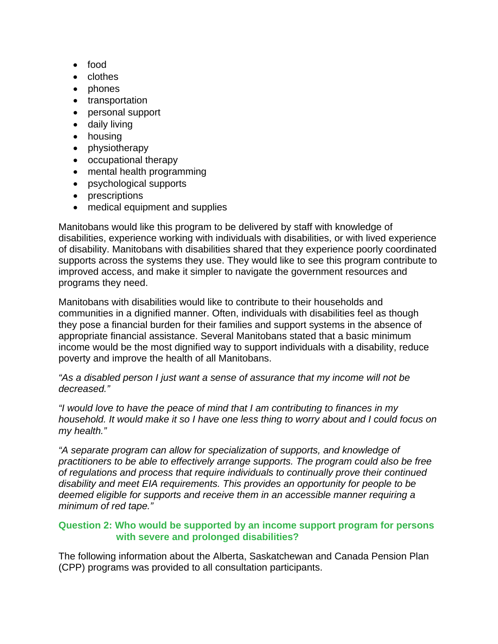- food
- clothes
- phones
- transportation
- personal support
- daily living
- housing
- physiotherapy
- occupational therapy
- mental health programming
- psychological supports
- prescriptions
- medical equipment and supplies

Manitobans would like this program to be delivered by staff with knowledge of disabilities, experience working with individuals with disabilities, or with lived experience of disability. Manitobans with disabilities shared that they experience poorly coordinated supports across the systems they use. They would like to see this program contribute to improved access, and make it simpler to navigate the government resources and programs they need.

Manitobans with disabilities would like to contribute to their households and communities in a dignified manner. Often, individuals with disabilities feel as though they pose a financial burden for their families and support systems in the absence of appropriate financial assistance. Several Manitobans stated that a basic minimum income would be the most dignified way to support individuals with a disability, reduce poverty and improve the health of all Manitobans.

*"As a disabled person I just want a sense of assurance that my income will not be decreased."* 

*"I would love to have the peace of mind that I am contributing to finances in my household. It would make it so I have one less thing to worry about and I could focus on my health."* 

*"A separate program can allow for specialization of supports, and knowledge of practitioners to be able to effectively arrange supports. The program could also be free of regulations and process that require individuals to continually prove their continued disability and meet EIA requirements. This provides an opportunity for people to be deemed eligible for supports and receive them in an accessible manner requiring a minimum of red tape."* 

## **Question 2: Who would be supported by an income support program for persons with severe and prolonged disabilities?**

The following information about the Alberta, Saskatchewan and Canada Pension Plan (CPP) programs was provided to all consultation participants.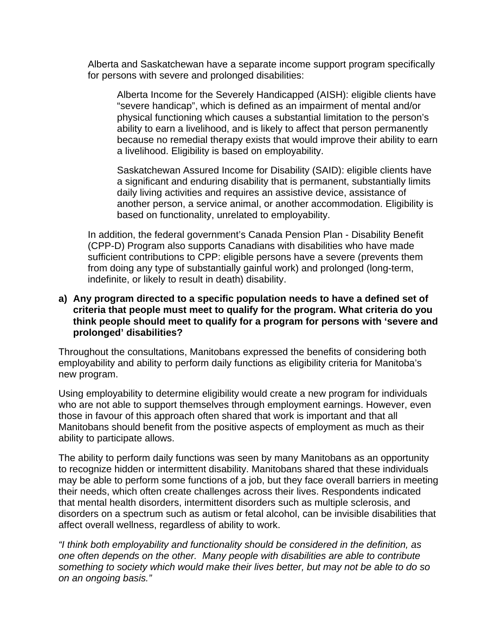Alberta and Saskatchewan have a separate income support program specifically for persons with severe and prolonged disabilities:

Alberta Income for the Severely Handicapped (AISH): eligible clients have "severe handicap", which is defined as an impairment of mental and/or physical functioning which causes a substantial limitation to the person's ability to earn a livelihood, and is likely to affect that person permanently because no remedial therapy exists that would improve their ability to earn a livelihood. Eligibility is based on employability.

Saskatchewan Assured Income for Disability (SAID): eligible clients have a significant and enduring disability that is permanent, substantially limits daily living activities and requires an assistive device, assistance of another person, a service animal, or another accommodation. Eligibility is based on functionality, unrelated to employability.

In addition, the federal government's Canada Pension Plan - Disability Benefit (CPP-D) Program also supports Canadians with disabilities who have made sufficient contributions to CPP: eligible persons have a severe (prevents them from doing any type of substantially gainful work) and prolonged (long-term, indefinite, or likely to result in death) disability.

#### **a) Any program directed to a specific population needs to have a defined set of criteria that people must meet to qualify for the program. What criteria do you think people should meet to qualify for a program for persons with 'severe and prolonged' disabilities?**

Throughout the consultations, Manitobans expressed the benefits of considering both employability and ability to perform daily functions as eligibility criteria for Manitoba's new program.

Using employability to determine eligibility would create a new program for individuals who are not able to support themselves through employment earnings. However, even those in favour of this approach often shared that work is important and that all Manitobans should benefit from the positive aspects of employment as much as their ability to participate allows.

The ability to perform daily functions was seen by many Manitobans as an opportunity to recognize hidden or intermittent disability. Manitobans shared that these individuals may be able to perform some functions of a job, but they face overall barriers in meeting their needs, which often create challenges across their lives. Respondents indicated that mental health disorders, intermittent disorders such as multiple sclerosis, and disorders on a spectrum such as autism or fetal alcohol, can be invisible disabilities that affect overall wellness, regardless of ability to work.

*"I think both employability and functionality should be considered in the definition, as one often depends on the other. Many people with disabilities are able to contribute something to society which would make their lives better, but may not be able to do so on an ongoing basis."*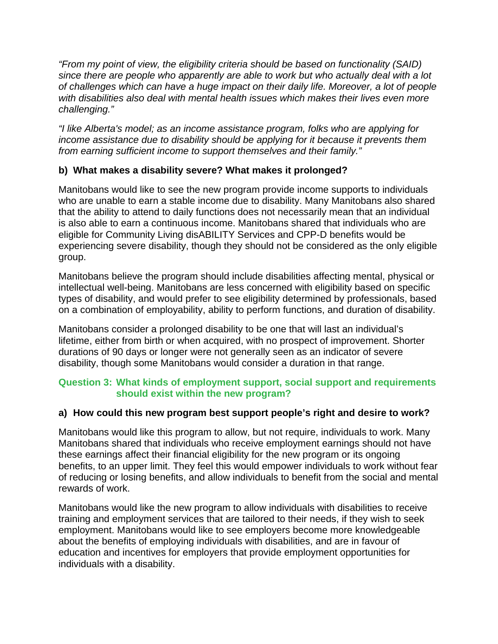*"From my point of view, the eligibility criteria should be based on functionality (SAID) since there are people who apparently are able to work but who actually deal with a lot of challenges which can have a huge impact on their daily life. Moreover, a lot of people with disabilities also deal with mental health issues which makes their lives even more challenging."* 

*"I like Alberta's model; as an income assistance program, folks who are applying for income assistance due to disability should be applying for it because it prevents them from earning sufficient income to support themselves and their family."* 

## **b) What makes a disability severe? What makes it prolonged?**

Manitobans would like to see the new program provide income supports to individuals who are unable to earn a stable income due to disability. Many Manitobans also shared that the ability to attend to daily functions does not necessarily mean that an individual is also able to earn a continuous income. Manitobans shared that individuals who are eligible for Community Living disABILITY Services and CPP-D benefits would be experiencing severe disability, though they should not be considered as the only eligible group.

Manitobans believe the program should include disabilities affecting mental, physical or intellectual well-being. Manitobans are less concerned with eligibility based on specific types of disability, and would prefer to see eligibility determined by professionals, based on a combination of employability, ability to perform functions, and duration of disability.

Manitobans consider a prolonged disability to be one that will last an individual's lifetime, either from birth or when acquired, with no prospect of improvement. Shorter durations of 90 days or longer were not generally seen as an indicator of severe disability, though some Manitobans would consider a duration in that range.

## **Question 3: What kinds of employment support, social support and requirements should exist within the new program?**

## **a) How could this new program best support people's right and desire to work?**

Manitobans would like this program to allow, but not require, individuals to work. Many Manitobans shared that individuals who receive employment earnings should not have these earnings affect their financial eligibility for the new program or its ongoing benefits, to an upper limit. They feel this would empower individuals to work without fear of reducing or losing benefits, and allow individuals to benefit from the social and mental rewards of work.

Manitobans would like the new program to allow individuals with disabilities to receive training and employment services that are tailored to their needs, if they wish to seek employment. Manitobans would like to see employers become more knowledgeable about the benefits of employing individuals with disabilities, and are in favour of education and incentives for employers that provide employment opportunities for individuals with a disability.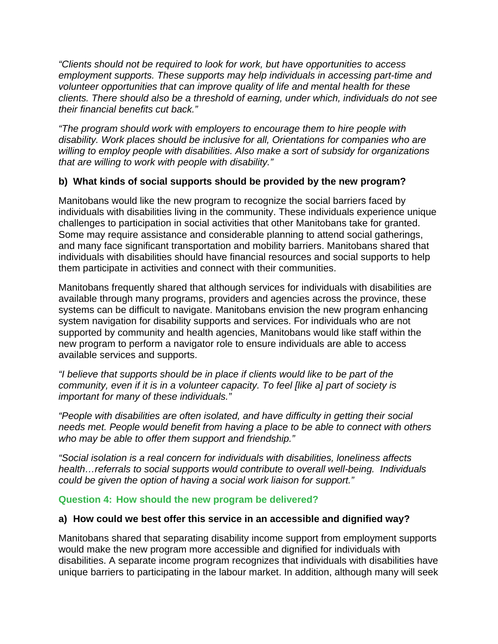*"Clients should not be required to look for work, but have opportunities to access employment supports. These supports may help individuals in accessing part-time and volunteer opportunities that can improve quality of life and mental health for these clients. There should also be a threshold of earning, under which, individuals do not see their financial benefits cut back."* 

*"The program should work with employers to encourage them to hire people with disability. Work places should be inclusive for all, Orientations for companies who are willing to employ people with disabilities. Also make a sort of subsidy for organizations that are willing to work with people with disability."* 

## **b) What kinds of social supports should be provided by the new program?**

Manitobans would like the new program to recognize the social barriers faced by individuals with disabilities living in the community. These individuals experience unique challenges to participation in social activities that other Manitobans take for granted. Some may require assistance and considerable planning to attend social gatherings, and many face significant transportation and mobility barriers. Manitobans shared that individuals with disabilities should have financial resources and social supports to help them participate in activities and connect with their communities.

Manitobans frequently shared that although services for individuals with disabilities are available through many programs, providers and agencies across the province, these systems can be difficult to navigate. Manitobans envision the new program enhancing system navigation for disability supports and services. For individuals who are not supported by community and health agencies, Manitobans would like staff within the new program to perform a navigator role to ensure individuals are able to access available services and supports.

*"I believe that supports should be in place if clients would like to be part of the community, even if it is in a volunteer capacity. To feel [like a] part of society is important for many of these individuals."* 

*"People with disabilities are often isolated, and have difficulty in getting their social needs met. People would benefit from having a place to be able to connect with others who may be able to offer them support and friendship."* 

*"Social isolation is a real concern for individuals with disabilities, loneliness affects health…referrals to social supports would contribute to overall well-being. Individuals could be given the option of having a social work liaison for support."*

**Question 4: How should the new program be delivered?** 

#### **a) How could we best offer this service in an accessible and dignified way?**

Manitobans shared that separating disability income support from employment supports would make the new program more accessible and dignified for individuals with disabilities. A separate income program recognizes that individuals with disabilities have unique barriers to participating in the labour market. In addition, although many will seek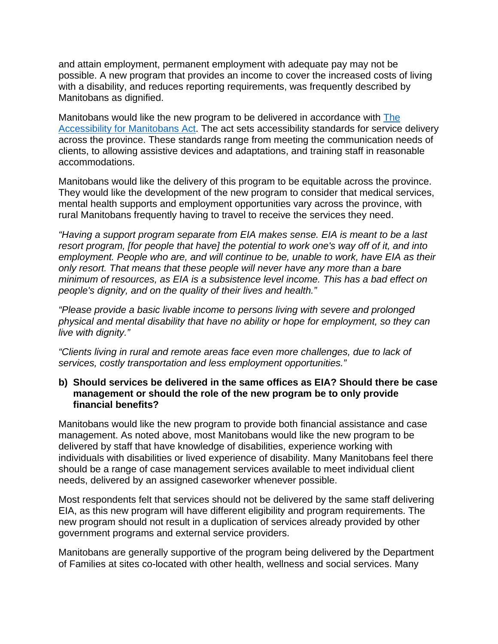and attain employment, permanent employment with adequate pay may not be possible. A new program that provides an income to cover the increased costs of living with a disability, and reduces reporting requirements, was frequently described by Manitobans as dignified.

Manitobans would like the new program to be delivered in accordance with The Accessibility for Manitobans Act. The act sets accessibility standards for service delivery across the province. These standards range from meeting the communication needs of clients, to allowing assistive devices and adaptations, and training staff in reasonable accommodations.

Manitobans would like the delivery of this program to be equitable across the province. They would like the development of the new program to consider that medical services, mental health supports and employment opportunities vary across the province, with rural Manitobans frequently having to travel to receive the services they need.

*"Having a support program separate from EIA makes sense. EIA is meant to be a last resort program, [for people that have] the potential to work one's way off of it, and into employment. People who are, and will continue to be, unable to work, have EIA as their only resort. That means that these people will never have any more than a bare minimum of resources, as EIA is a subsistence level income. This has a bad effect on people's dignity, and on the quality of their lives and health."* 

*"Please provide a basic livable income to persons living with severe and prolonged physical and mental disability that have no ability or hope for employment, so they can live with dignity."* 

*"Clients living in rural and remote areas face even more challenges, due to lack of services, costly transportation and less employment opportunities."* 

#### **b) Should services be delivered in the same offices as EIA? Should there be case management or should the role of the new program be to only provide financial benefits?**

Manitobans would like the new program to provide both financial assistance and case management. As noted above, most Manitobans would like the new program to be delivered by staff that have knowledge of disabilities, experience working with individuals with disabilities or lived experience of disability. Many Manitobans feel there should be a range of case management services available to meet individual client needs, delivered by an assigned caseworker whenever possible.

Most respondents felt that services should not be delivered by the same staff delivering EIA, as this new program will have different eligibility and program requirements. The new program should not result in a duplication of services already provided by other government programs and external service providers.

Manitobans are generally supportive of the program being delivered by the Department of Families at sites co-located with other health, wellness and social services. Many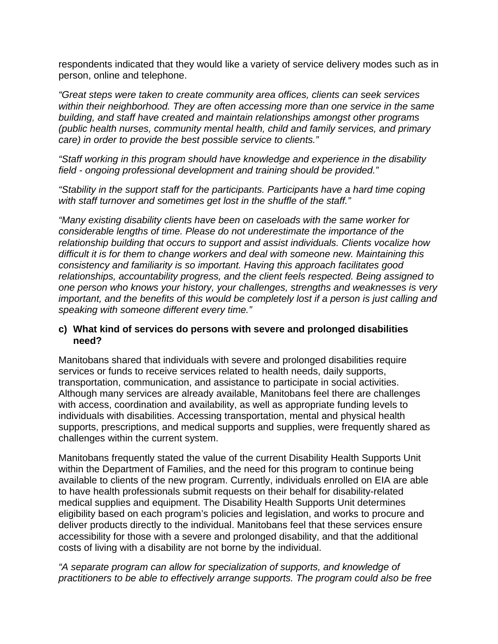respondents indicated that they would like a variety of service delivery modes such as in person, online and telephone.

*"Great steps were taken to create community area offices, clients can seek services within their neighborhood. They are often accessing more than one service in the same building, and staff have created and maintain relationships amongst other programs (public health nurses, community mental health, child and family services, and primary care) in order to provide the best possible service to clients."* 

*"Staff working in this program should have knowledge and experience in the disability field - ongoing professional development and training should be provided."* 

*"Stability in the support staff for the participants. Participants have a hard time coping with staff turnover and sometimes get lost in the shuffle of the staff."* 

*"Many existing disability clients have been on caseloads with the same worker for considerable lengths of time. Please do not underestimate the importance of the relationship building that occurs to support and assist individuals. Clients vocalize how difficult it is for them to change workers and deal with someone new. Maintaining this consistency and familiarity is so important. Having this approach facilitates good relationships, accountability progress, and the client feels respected. Being assigned to one person who knows your history, your challenges, strengths and weaknesses is very important, and the benefits of this would be completely lost if a person is just calling and speaking with someone different every time."* 

#### **c) What kind of services do persons with severe and prolonged disabilities need?**

Manitobans shared that individuals with severe and prolonged disabilities require services or funds to receive services related to health needs, daily supports, transportation, communication, and assistance to participate in social activities. Although many services are already available, Manitobans feel there are challenges with access, coordination and availability, as well as appropriate funding levels to individuals with disabilities. Accessing transportation, mental and physical health supports, prescriptions, and medical supports and supplies, were frequently shared as challenges within the current system.

Manitobans frequently stated the value of the current Disability Health Supports Unit within the Department of Families, and the need for this program to continue being available to clients of the new program. Currently, individuals enrolled on EIA are able to have health professionals submit requests on their behalf for disability-related medical supplies and equipment. The Disability Health Supports Unit determines eligibility based on each program's policies and legislation, and works to procure and deliver products directly to the individual. Manitobans feel that these services ensure accessibility for those with a severe and prolonged disability, and that the additional costs of living with a disability are not borne by the individual.

*"A separate program can allow for specialization of supports, and knowledge of practitioners to be able to effectively arrange supports. The program could also be free*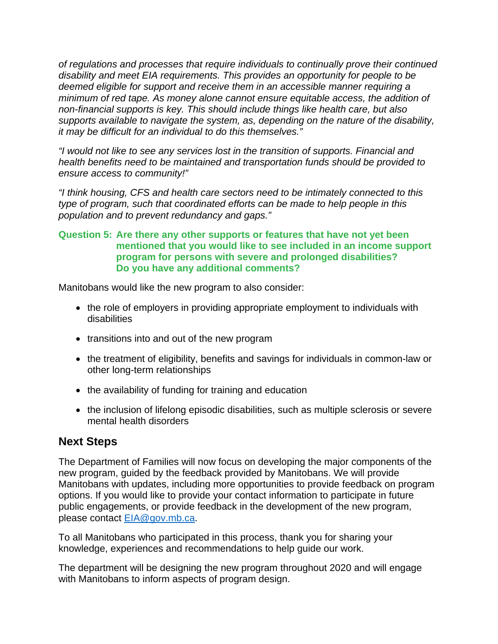*of regulations and processes that require individuals to continually prove their continued disability and meet EIA requirements. This provides an opportunity for people to be deemed eligible for support and receive them in an accessible manner requiring a minimum of red tape. As money alone cannot ensure equitable access, the addition of non-financial supports is key. This should include things like health care, but also supports available to navigate the system, as, depending on the nature of the disability, it may be difficult for an individual to do this themselves."* 

*"I would not like to see any services lost in the transition of supports. Financial and health benefits need to be maintained and transportation funds should be provided to ensure access to community!"* 

*"I think housing, CFS and health care sectors need to be intimately connected to this type of program, such that coordinated efforts can be made to help people in this population and to prevent redundancy and gaps."* 

#### **Question 5: Are there any other supports or features that have not yet been mentioned that you would like to see included in an income support program for persons with severe and prolonged disabilities? Do you have any additional comments?**

Manitobans would like the new program to also consider:

- the role of employers in providing appropriate employment to individuals with disabilities
- transitions into and out of the new program
- the treatment of eligibility, benefits and savings for individuals in common-law or other long-term relationships
- the availability of funding for training and education
- the inclusion of lifelong episodic disabilities, such as multiple sclerosis or severe mental health disorders

# **Next Steps**

The Department of Families will now focus on developing the major components of the new program, guided by the feedback provided by Manitobans. We will provide Manitobans with updates, including more opportunities to provide feedback on program options. If you would like to provide your contact information to participate in future public engagements, or provide feedback in the development of the new program, please contact EIA@gov.mb.ca.

To all Manitobans who participated in this process, thank you for sharing your knowledge, experiences and recommendations to help guide our work.

The department will be designing the new program throughout 2020 and will engage with Manitobans to inform aspects of program design.